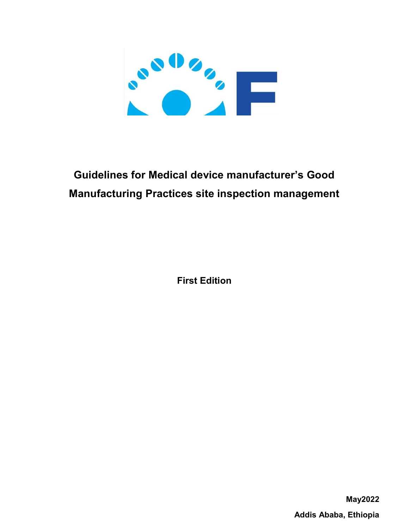

# Guidelines for Medical device manufacturer's Good Manufacturing Practices site inspection management

First Edition

May2022 Addis Ababa, Ethiopia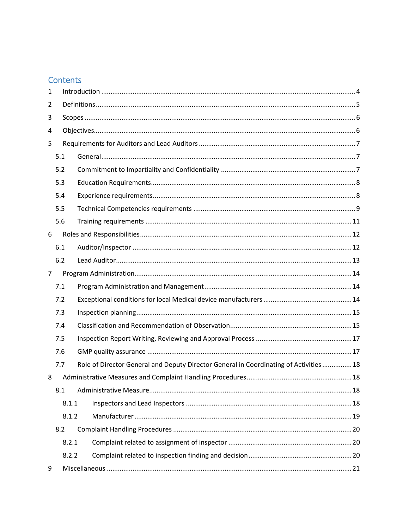## Contents

| 1              |     |       |  |                                                                                        |  |  |
|----------------|-----|-------|--|----------------------------------------------------------------------------------------|--|--|
| 2              |     |       |  |                                                                                        |  |  |
| 3              |     |       |  |                                                                                        |  |  |
| 4              |     |       |  |                                                                                        |  |  |
| 5              |     |       |  |                                                                                        |  |  |
|                | 5.1 |       |  |                                                                                        |  |  |
|                | 5.2 |       |  |                                                                                        |  |  |
|                | 5.3 |       |  |                                                                                        |  |  |
|                | 5.4 |       |  |                                                                                        |  |  |
|                | 5.5 |       |  |                                                                                        |  |  |
|                | 5.6 |       |  |                                                                                        |  |  |
| 6              |     |       |  |                                                                                        |  |  |
|                | 6.1 |       |  |                                                                                        |  |  |
|                | 6.2 |       |  |                                                                                        |  |  |
| $\overline{7}$ |     |       |  |                                                                                        |  |  |
|                | 7.1 |       |  |                                                                                        |  |  |
|                | 7.2 |       |  |                                                                                        |  |  |
|                | 7.3 |       |  |                                                                                        |  |  |
|                | 7.4 |       |  |                                                                                        |  |  |
|                | 7.5 |       |  |                                                                                        |  |  |
|                | 7.6 |       |  |                                                                                        |  |  |
|                | 7.7 |       |  | Role of Director General and Deputy Director General in Coordinating of Activities  18 |  |  |
| 8              |     |       |  |                                                                                        |  |  |
|                | 8.1 |       |  |                                                                                        |  |  |
|                |     | 8.1.1 |  |                                                                                        |  |  |
|                |     | 8.1.2 |  |                                                                                        |  |  |
|                | 8.2 |       |  |                                                                                        |  |  |
|                |     | 8.2.1 |  |                                                                                        |  |  |
|                |     | 8.2.2 |  |                                                                                        |  |  |
| 9              |     |       |  |                                                                                        |  |  |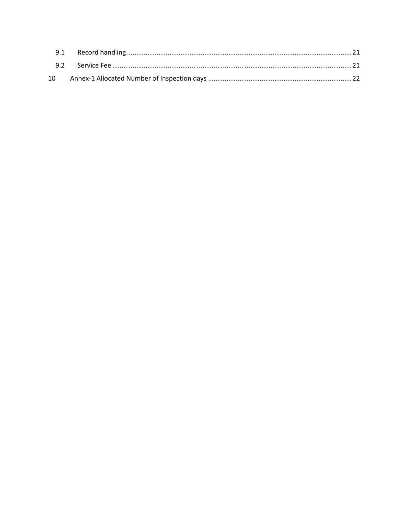| 10 |  |
|----|--|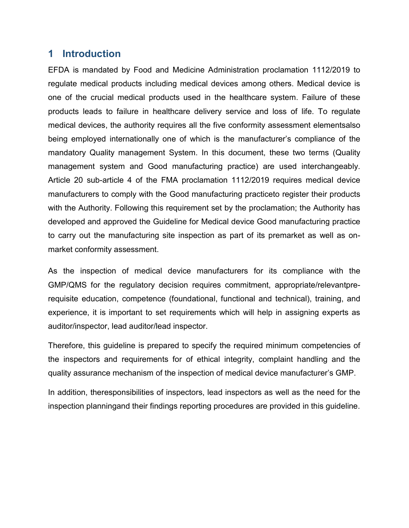#### 1 Introduction

EFDA is mandated by Food and Medicine Administration proclamation 1112/2019 to regulate medical products including medical devices among others. Medical device is one of the crucial medical products used in the healthcare system. Failure of these products leads to failure in healthcare delivery service and loss of life. To regulate medical devices, the authority requires all the five conformity assessment elementsalso being employed internationally one of which is the manufacturer's compliance of the mandatory Quality management System. In this document, these two terms (Quality management system and Good manufacturing practice) are used interchangeably. Article 20 sub-article 4 of the FMA proclamation 1112/2019 requires medical device manufacturers to comply with the Good manufacturing practiceto register their products with the Authority. Following this requirement set by the proclamation; the Authority has developed and approved the Guideline for Medical device Good manufacturing practice to carry out the manufacturing site inspection as part of its premarket as well as onmarket conformity assessment.

As the inspection of medical device manufacturers for its compliance with the GMP/QMS for the regulatory decision requires commitment, appropriate/relevantprerequisite education, competence (foundational, functional and technical), training, and experience, it is important to set requirements which will help in assigning experts as auditor/inspector, lead auditor/lead inspector.

Therefore, this guideline is prepared to specify the required minimum competencies of the inspectors and requirements for of ethical integrity, complaint handling and the quality assurance mechanism of the inspection of medical device manufacturer's GMP.

In addition, theresponsibilities of inspectors, lead inspectors as well as the need for the inspection planningand their findings reporting procedures are provided in this guideline.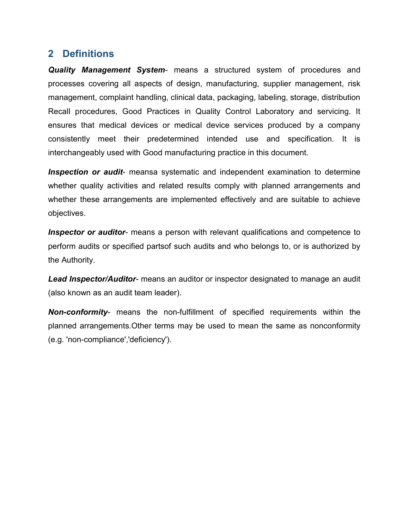## 2 Definitions

Quality Management System- means a structured system of procedures and processes covering all aspects of design, manufacturing, supplier management, risk management, complaint handling, clinical data, packaging, labeling, storage, distribution Recall procedures, Good Practices in Quality Control Laboratory and servicing. It ensures that medical devices or medical device services produced by a company consistently meet their predetermined intended use and specification. It is interchangeably used with Good manufacturing practice in this document.

**Inspection or audit-** meansa systematic and independent examination to determine whether quality activities and related results comply with planned arrangements and whether these arrangements are implemented effectively and are suitable to achieve objectives.

**Inspector or auditor-** means a person with relevant qualifications and competence to perform audits or specified partsof such audits and who belongs to, or is authorized by the Authority.

**Lead Inspector/Auditor-** means an auditor or inspector designated to manage an audit (also known as an audit team leader).

Non-conformity- means the non-fulfillment of specified requirements within the planned arrangements.Other terms may be used to mean the same as nonconformity (e.g. 'non-compliance','deficiency').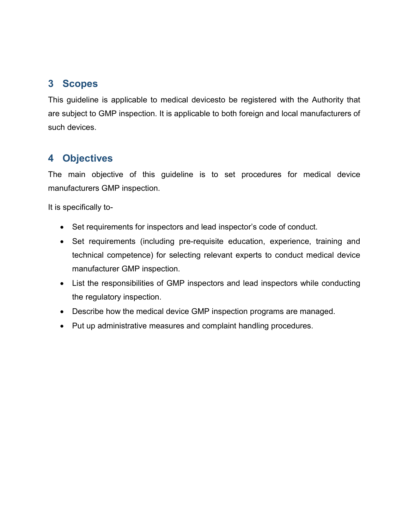## 3 Scopes

This guideline is applicable to medical devicesto be registered with the Authority that are subject to GMP inspection. It is applicable to both foreign and local manufacturers of such devices.

## 4 Objectives

The main objective of this guideline is to set procedures for medical device manufacturers GMP inspection.

It is specifically to-

- Set requirements for inspectors and lead inspector's code of conduct.
- Set requirements (including pre-requisite education, experience, training and technical competence) for selecting relevant experts to conduct medical device manufacturer GMP inspection.
- List the responsibilities of GMP inspectors and lead inspectors while conducting the regulatory inspection.
- Describe how the medical device GMP inspection programs are managed.
- Put up administrative measures and complaint handling procedures.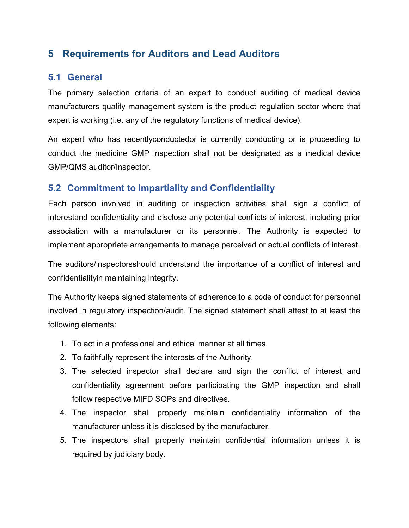## 5 Requirements for Auditors and Lead Auditors

#### 5.1 General

The primary selection criteria of an expert to conduct auditing of medical device manufacturers quality management system is the product regulation sector where that expert is working (i.e. any of the regulatory functions of medical device).

An expert who has recentlyconductedor is currently conducting or is proceeding to conduct the medicine GMP inspection shall not be designated as a medical device GMP/QMS auditor/Inspector.

#### 5.2 Commitment to Impartiality and Confidentiality

Each person involved in auditing or inspection activities shall sign a conflict of interestand confidentiality and disclose any potential conflicts of interest, including prior association with a manufacturer or its personnel. The Authority is expected to implement appropriate arrangements to manage perceived or actual conflicts of interest.

The auditors/inspectorsshould understand the importance of a conflict of interest and confidentialityin maintaining integrity.

The Authority keeps signed statements of adherence to a code of conduct for personnel involved in regulatory inspection/audit. The signed statement shall attest to at least the following elements:

- 1. To act in a professional and ethical manner at all times.
- 2. To faithfully represent the interests of the Authority.
- 3. The selected inspector shall declare and sign the conflict of interest and confidentiality agreement before participating the GMP inspection and shall follow respective MIFD SOPs and directives.
- 4. The inspector shall properly maintain confidentiality information of the manufacturer unless it is disclosed by the manufacturer.
- 5. The inspectors shall properly maintain confidential information unless it is required by judiciary body.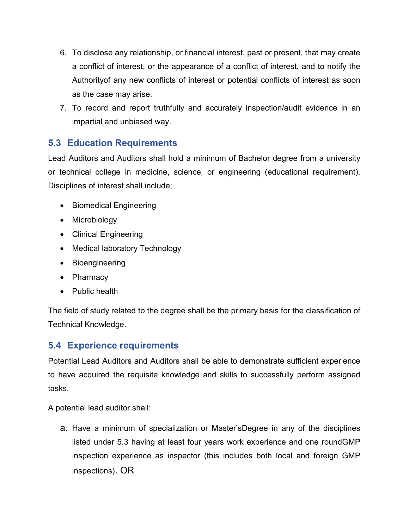- 6. To disclose any relationship, or financial interest, past or present, that may create a conflict of interest, or the appearance of a conflict of interest, and to notify the Authorityof any new conflicts of interest or potential conflicts of interest as soon as the case may arise.
- 7. To record and report truthfully and accurately inspection/audit evidence in an impartial and unbiased way.

## 5.3 Education Requirements

Lead Auditors and Auditors shall hold a minimum of Bachelor degree from a university or technical college in medicine, science, or engineering (educational requirement). Disciplines of interest shall include;

- Biomedical Engineering
- Microbiology
- Clinical Engineering
- Medical laboratory Technology
- Bioengineering
- Pharmacy
- Public health

The field of study related to the degree shall be the primary basis for the classification of Technical Knowledge.

#### 5.4 Experience requirements

Potential Lead Auditors and Auditors shall be able to demonstrate sufficient experience to have acquired the requisite knowledge and skills to successfully perform assigned tasks.

A potential lead auditor shall:

a. Have a minimum of specialization or Master'sDegree in any of the disciplines listed under 5.3 having at least four years work experience and one roundGMP inspection experience as inspector (this includes both local and foreign GMP inspections). OR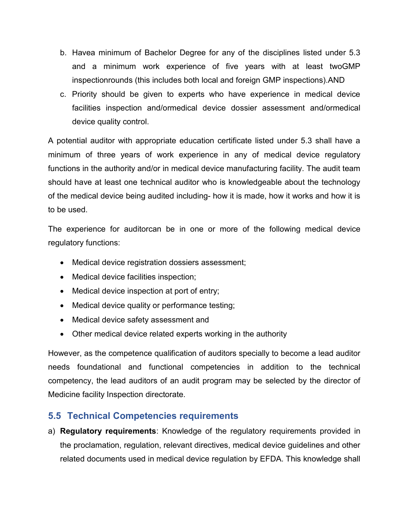- b. Havea minimum of Bachelor Degree for any of the disciplines listed under 5.3 and a minimum work experience of five years with at least twoGMP inspectionrounds (this includes both local and foreign GMP inspections).AND
- c. Priority should be given to experts who have experience in medical device facilities inspection and/ormedical device dossier assessment and/ormedical device quality control.

A potential auditor with appropriate education certificate listed under 5.3 shall have a minimum of three years of work experience in any of medical device regulatory functions in the authority and/or in medical device manufacturing facility. The audit team should have at least one technical auditor who is knowledgeable about the technology of the medical device being audited including- how it is made, how it works and how it is to be used.

The experience for auditorcan be in one or more of the following medical device regulatory functions:

- Medical device registration dossiers assessment;
- Medical device facilities inspection;
- Medical device inspection at port of entry;
- Medical device quality or performance testing;
- Medical device safety assessment and
- Other medical device related experts working in the authority

However, as the competence qualification of auditors specially to become a lead auditor needs foundational and functional competencies in addition to the technical competency, the lead auditors of an audit program may be selected by the director of Medicine facility Inspection directorate.

#### 5.5 Technical Competencies requirements

a) Regulatory requirements: Knowledge of the regulatory requirements provided in the proclamation, regulation, relevant directives, medical device guidelines and other related documents used in medical device regulation by EFDA. This knowledge shall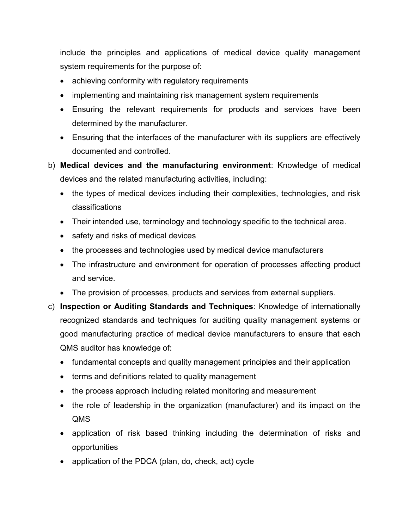include the principles and applications of medical device quality management system requirements for the purpose of:

- achieving conformity with regulatory requirements
- implementing and maintaining risk management system requirements
- Ensuring the relevant requirements for products and services have been determined by the manufacturer.
- Ensuring that the interfaces of the manufacturer with its suppliers are effectively documented and controlled.
- b) Medical devices and the manufacturing environment: Knowledge of medical devices and the related manufacturing activities, including:
	- the types of medical devices including their complexities, technologies, and risk classifications
	- Their intended use, terminology and technology specific to the technical area.
	- safety and risks of medical devices
	- the processes and technologies used by medical device manufacturers
	- The infrastructure and environment for operation of processes affecting product and service.
	- The provision of processes, products and services from external suppliers.
- c) Inspection or Auditing Standards and Techniques: Knowledge of internationally recognized standards and techniques for auditing quality management systems or good manufacturing practice of medical device manufacturers to ensure that each QMS auditor has knowledge of:
	- fundamental concepts and quality management principles and their application
	- terms and definitions related to quality management
	- the process approach including related monitoring and measurement
	- the role of leadership in the organization (manufacturer) and its impact on the QMS
	- application of risk based thinking including the determination of risks and opportunities
	- application of the PDCA (plan, do, check, act) cycle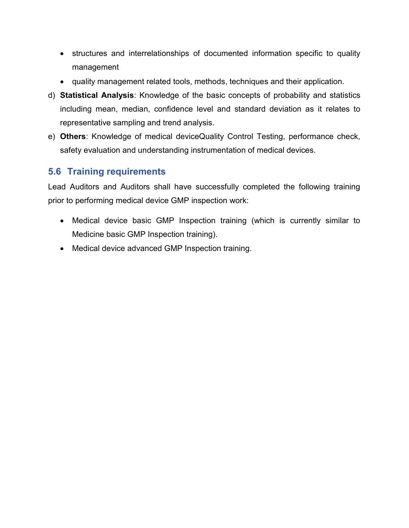- structures and interrelationships of documented information specific to quality management
- quality management related tools, methods, techniques and their application.
- d) Statistical Analysis: Knowledge of the basic concepts of probability and statistics including mean, median, confidence level and standard deviation as it relates to representative sampling and trend analysis.
- e) Others: Knowledge of medical deviceQuality Control Testing, performance check, safety evaluation and understanding instrumentation of medical devices.

## 5.6 Training requirements

Lead Auditors and Auditors shall have successfully completed the following training prior to performing medical device GMP inspection work:

- Medical device basic GMP Inspection training (which is currently similar to Medicine basic GMP Inspection training).
- Medical device advanced GMP Inspection training.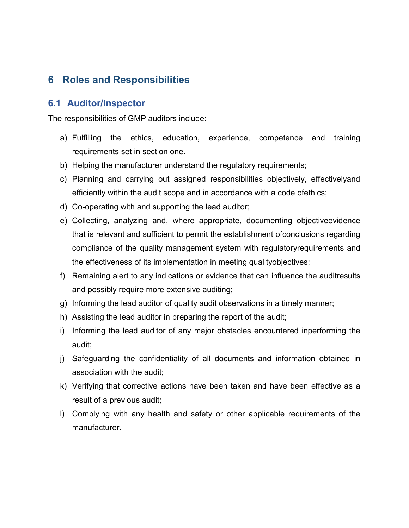## 6 Roles and Responsibilities

#### 6.1 Auditor/Inspector

The responsibilities of GMP auditors include:

- a) Fulfilling the ethics, education, experience, competence and training requirements set in section one.
- b) Helping the manufacturer understand the regulatory requirements;
- c) Planning and carrying out assigned responsibilities objectively, effectivelyand efficiently within the audit scope and in accordance with a code ofethics;
- d) Co-operating with and supporting the lead auditor;
- e) Collecting, analyzing and, where appropriate, documenting objectiveevidence that is relevant and sufficient to permit the establishment ofconclusions regarding compliance of the quality management system with regulatoryrequirements and the effectiveness of its implementation in meeting qualityobjectives;
- f) Remaining alert to any indications or evidence that can influence the auditresults and possibly require more extensive auditing;
- g) Informing the lead auditor of quality audit observations in a timely manner;
- h) Assisting the lead auditor in preparing the report of the audit;
- i) Informing the lead auditor of any major obstacles encountered inperforming the audit;
- j) Safeguarding the confidentiality of all documents and information obtained in association with the audit;
- k) Verifying that corrective actions have been taken and have been effective as a result of a previous audit;
- l) Complying with any health and safety or other applicable requirements of the manufacturer.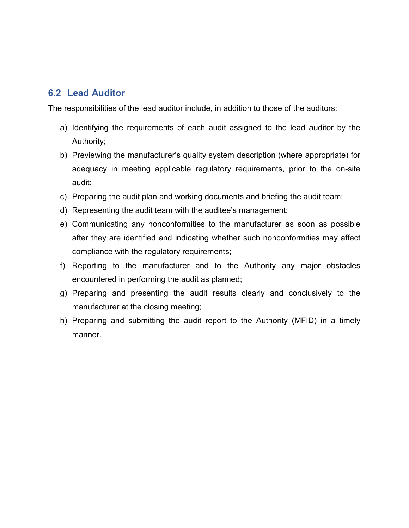#### 6.2 Lead Auditor

The responsibilities of the lead auditor include, in addition to those of the auditors:

- a) Identifying the requirements of each audit assigned to the lead auditor by the Authority;
- b) Previewing the manufacturer's quality system description (where appropriate) for adequacy in meeting applicable regulatory requirements, prior to the on-site audit;
- c) Preparing the audit plan and working documents and briefing the audit team;
- d) Representing the audit team with the auditee's management;
- e) Communicating any nonconformities to the manufacturer as soon as possible after they are identified and indicating whether such nonconformities may affect compliance with the regulatory requirements;
- f) Reporting to the manufacturer and to the Authority any major obstacles encountered in performing the audit as planned;
- g) Preparing and presenting the audit results clearly and conclusively to the manufacturer at the closing meeting;
- h) Preparing and submitting the audit report to the Authority (MFID) in a timely manner.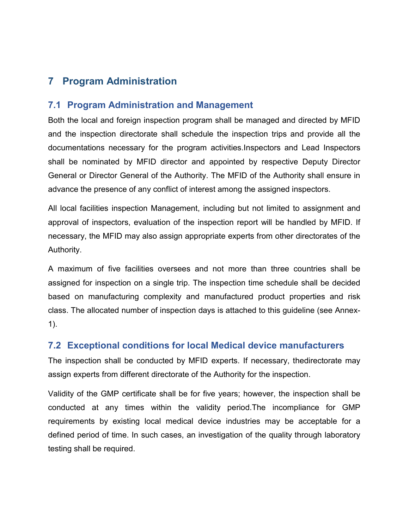## 7 Program Administration

## 7.1 Program Administration and Management

Both the local and foreign inspection program shall be managed and directed by MFID and the inspection directorate shall schedule the inspection trips and provide all the documentations necessary for the program activities.Inspectors and Lead Inspectors shall be nominated by MFID director and appointed by respective Deputy Director General or Director General of the Authority. The MFID of the Authority shall ensure in advance the presence of any conflict of interest among the assigned inspectors.

All local facilities inspection Management, including but not limited to assignment and approval of inspectors, evaluation of the inspection report will be handled by MFID. If necessary, the MFID may also assign appropriate experts from other directorates of the Authority.

A maximum of five facilities oversees and not more than three countries shall be assigned for inspection on a single trip. The inspection time schedule shall be decided based on manufacturing complexity and manufactured product properties and risk class. The allocated number of inspection days is attached to this guideline (see Annex-1).

#### 7.2 Exceptional conditions for local Medical device manufacturers

The inspection shall be conducted by MFID experts. If necessary, thedirectorate may assign experts from different directorate of the Authority for the inspection.

Validity of the GMP certificate shall be for five years; however, the inspection shall be conducted at any times within the validity period.The incompliance for GMP requirements by existing local medical device industries may be acceptable for a defined period of time. In such cases, an investigation of the quality through laboratory testing shall be required.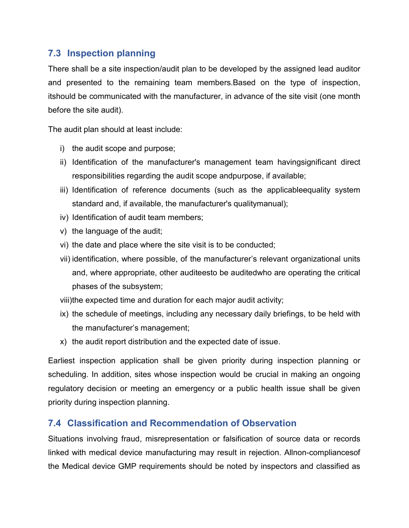#### 7.3 Inspection planning

There shall be a site inspection/audit plan to be developed by the assigned lead auditor and presented to the remaining team members.Based on the type of inspection, itshould be communicated with the manufacturer, in advance of the site visit (one month before the site audit).

The audit plan should at least include:

- i) the audit scope and purpose;
- ii) Identification of the manufacturer's management team havingsignificant direct responsibilities regarding the audit scope andpurpose, if available;
- iii) Identification of reference documents (such as the applicableequality system standard and, if available, the manufacturer's qualitymanual);
- iv) Identification of audit team members;
- v) the language of the audit;
- vi) the date and place where the site visit is to be conducted;
- vii) identification, where possible, of the manufacturer's relevant organizational units and, where appropriate, other auditeesto be auditedwho are operating the critical phases of the subsystem;
- viii)the expected time and duration for each major audit activity;
- ix) the schedule of meetings, including any necessary daily briefings, to be held with the manufacturer's management;
- x) the audit report distribution and the expected date of issue.

Earliest inspection application shall be given priority during inspection planning or scheduling. In addition, sites whose inspection would be crucial in making an ongoing regulatory decision or meeting an emergency or a public health issue shall be given priority during inspection planning.

#### 7.4 Classification and Recommendation of Observation

Situations involving fraud, misrepresentation or falsification of source data or records linked with medical device manufacturing may result in rejection. Allnon-compliancesof the Medical device GMP requirements should be noted by inspectors and classified as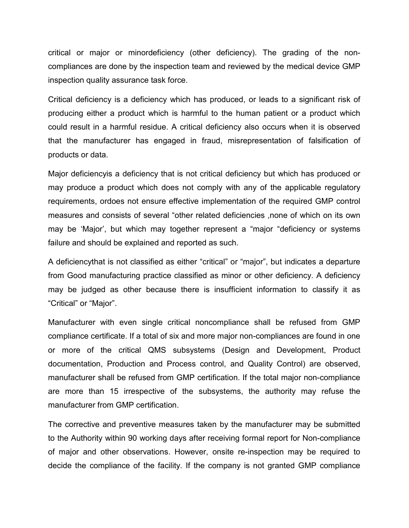critical or major or minordeficiency (other deficiency). The grading of the noncompliances are done by the inspection team and reviewed by the medical device GMP inspection quality assurance task force.

Critical deficiency is a deficiency which has produced, or leads to a significant risk of producing either a product which is harmful to the human patient or a product which could result in a harmful residue. A critical deficiency also occurs when it is observed that the manufacturer has engaged in fraud, misrepresentation of falsification of products or data.

Major deficiencyis a deficiency that is not critical deficiency but which has produced or may produce a product which does not comply with any of the applicable regulatory requirements, ordoes not ensure effective implementation of the required GMP control measures and consists of several "other related deficiencies ,none of which on its own may be 'Major', but which may together represent a "major "deficiency or systems failure and should be explained and reported as such.

A deficiencythat is not classified as either "critical" or "major", but indicates a departure from Good manufacturing practice classified as minor or other deficiency. A deficiency may be judged as other because there is insufficient information to classify it as "Critical" or "Major".

Manufacturer with even single critical noncompliance shall be refused from GMP compliance certificate. If a total of six and more major non-compliances are found in one or more of the critical QMS subsystems (Design and Development, Product documentation, Production and Process control, and Quality Control) are observed, manufacturer shall be refused from GMP certification. If the total major non-compliance are more than 15 irrespective of the subsystems, the authority may refuse the manufacturer from GMP certification.

The corrective and preventive measures taken by the manufacturer may be submitted to the Authority within 90 working days after receiving formal report for Non-compliance of major and other observations. However, onsite re-inspection may be required to decide the compliance of the facility. If the company is not granted GMP compliance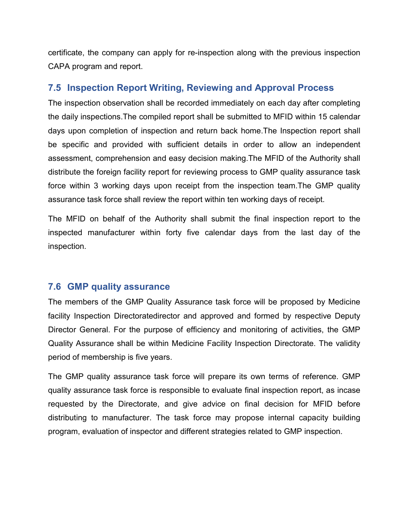certificate, the company can apply for re-inspection along with the previous inspection CAPA program and report.

#### 7.5 Inspection Report Writing, Reviewing and Approval Process

The inspection observation shall be recorded immediately on each day after completing the daily inspections.The compiled report shall be submitted to MFID within 15 calendar days upon completion of inspection and return back home.The Inspection report shall be specific and provided with sufficient details in order to allow an independent assessment, comprehension and easy decision making.The MFID of the Authority shall distribute the foreign facility report for reviewing process to GMP quality assurance task force within 3 working days upon receipt from the inspection team.The GMP quality assurance task force shall review the report within ten working days of receipt.

The MFID on behalf of the Authority shall submit the final inspection report to the inspected manufacturer within forty five calendar days from the last day of the inspection.

#### 7.6 GMP quality assurance

The members of the GMP Quality Assurance task force will be proposed by Medicine facility Inspection Directoratedirector and approved and formed by respective Deputy Director General. For the purpose of efficiency and monitoring of activities, the GMP Quality Assurance shall be within Medicine Facility Inspection Directorate. The validity period of membership is five years.

The GMP quality assurance task force will prepare its own terms of reference. GMP quality assurance task force is responsible to evaluate final inspection report, as incase requested by the Directorate, and give advice on final decision for MFID before distributing to manufacturer. The task force may propose internal capacity building program, evaluation of inspector and different strategies related to GMP inspection.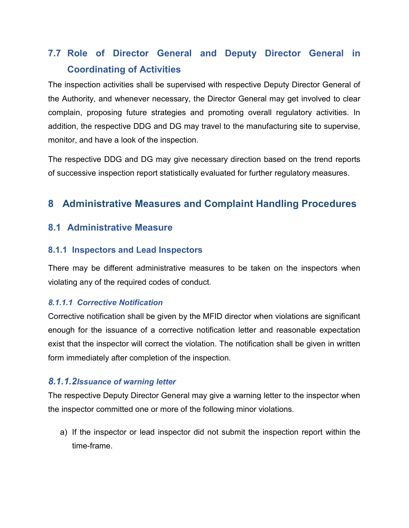## 7.7 Role of Director General and Deputy Director General in Coordinating of Activities

The inspection activities shall be supervised with respective Deputy Director General of the Authority, and whenever necessary, the Director General may get involved to clear complain, proposing future strategies and promoting overall regulatory activities. In addition, the respective DDG and DG may travel to the manufacturing site to supervise, monitor, and have a look of the inspection.

The respective DDG and DG may give necessary direction based on the trend reports of successive inspection report statistically evaluated for further regulatory measures.

## 8 Administrative Measures and Complaint Handling Procedures

#### 8.1 Administrative Measure

#### 8.1.1 Inspectors and Lead Inspectors

There may be different administrative measures to be taken on the inspectors when violating any of the required codes of conduct.

#### 8.1.1.1 Corrective Notification

Corrective notification shall be given by the MFID director when violations are significant enough for the issuance of a corrective notification letter and reasonable expectation exist that the inspector will correct the violation. The notification shall be given in written form immediately after completion of the inspection.

#### 8.1.1.2 Issuance of warning letter

The respective Deputy Director General may give a warning letter to the inspector when the inspector committed one or more of the following minor violations.

a) If the inspector or lead inspector did not submit the inspection report within the time-frame.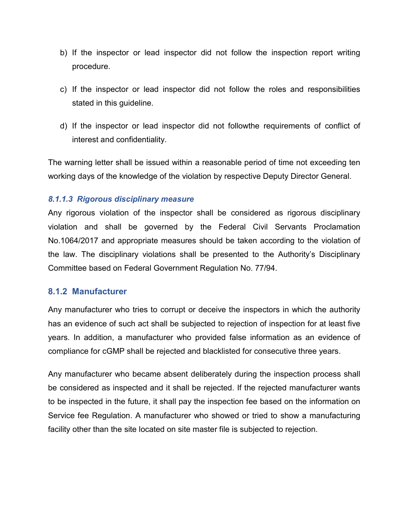- b) If the inspector or lead inspector did not follow the inspection report writing procedure.
- c) If the inspector or lead inspector did not follow the roles and responsibilities stated in this guideline.
- d) If the inspector or lead inspector did not followthe requirements of conflict of interest and confidentiality.

The warning letter shall be issued within a reasonable period of time not exceeding ten working days of the knowledge of the violation by respective Deputy Director General.

#### 8.1.1.3 Rigorous disciplinary measure

Any rigorous violation of the inspector shall be considered as rigorous disciplinary violation and shall be governed by the Federal Civil Servants Proclamation No.1064/2017 and appropriate measures should be taken according to the violation of the law. The disciplinary violations shall be presented to the Authority's Disciplinary Committee based on Federal Government Regulation No. 77/94.

#### 8.1.2 Manufacturer

Any manufacturer who tries to corrupt or deceive the inspectors in which the authority has an evidence of such act shall be subjected to rejection of inspection for at least five years. In addition, a manufacturer who provided false information as an evidence of compliance for cGMP shall be rejected and blacklisted for consecutive three years.

Any manufacturer who became absent deliberately during the inspection process shall be considered as inspected and it shall be rejected. If the rejected manufacturer wants to be inspected in the future, it shall pay the inspection fee based on the information on Service fee Regulation. A manufacturer who showed or tried to show a manufacturing facility other than the site located on site master file is subjected to rejection.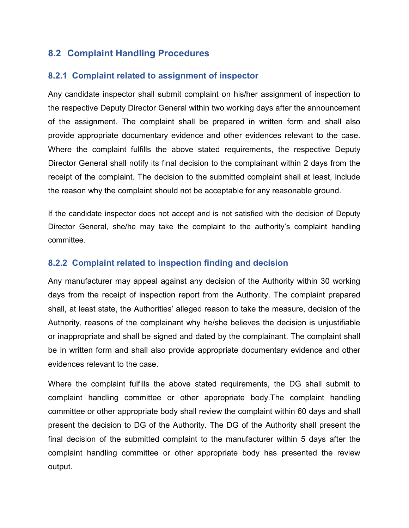#### 8.2 Complaint Handling Procedures

#### 8.2.1 Complaint related to assignment of inspector

Any candidate inspector shall submit complaint on his/her assignment of inspection to the respective Deputy Director General within two working days after the announcement of the assignment. The complaint shall be prepared in written form and shall also provide appropriate documentary evidence and other evidences relevant to the case. Where the complaint fulfills the above stated requirements, the respective Deputy Director General shall notify its final decision to the complainant within 2 days from the receipt of the complaint. The decision to the submitted complaint shall at least, include the reason why the complaint should not be acceptable for any reasonable ground.

If the candidate inspector does not accept and is not satisfied with the decision of Deputy Director General, she/he may take the complaint to the authority's complaint handling committee.

#### 8.2.2 Complaint related to inspection finding and decision

Any manufacturer may appeal against any decision of the Authority within 30 working days from the receipt of inspection report from the Authority. The complaint prepared shall, at least state, the Authorities' alleged reason to take the measure, decision of the Authority, reasons of the complainant why he/she believes the decision is unjustifiable or inappropriate and shall be signed and dated by the complainant. The complaint shall be in written form and shall also provide appropriate documentary evidence and other evidences relevant to the case.

Where the complaint fulfills the above stated requirements, the DG shall submit to complaint handling committee or other appropriate body.The complaint handling committee or other appropriate body shall review the complaint within 60 days and shall present the decision to DG of the Authority. The DG of the Authority shall present the final decision of the submitted complaint to the manufacturer within 5 days after the complaint handling committee or other appropriate body has presented the review output.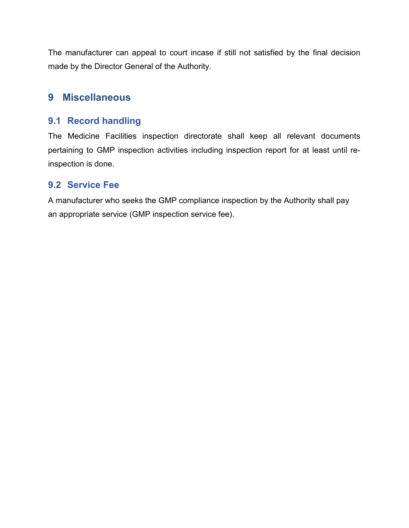The manufacturer can appeal to court incase if still not satisfied by the final decision made by the Director General of the Authority.

## 9 Miscellaneous

#### 9.1 Record handling

The Medicine Facilities inspection directorate shall keep all relevant documents pertaining to GMP inspection activities including inspection report for at least until reinspection is done.

#### 9.2 Service Fee

A manufacturer who seeks the GMP compliance inspection by the Authority shall pay an appropriate service (GMP inspection service fee).